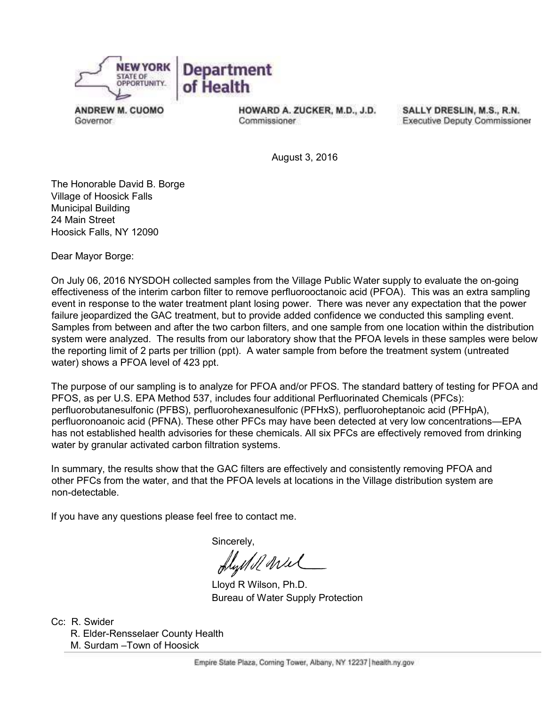

**ANDREW M. CUOMO** Governor.

HOWARD A. ZUCKER, M.D., J.D. Commissioner

SALLY DRESLIN, M.S., R.N. **Executive Deputy Commissioner** 

August 3, 2016

The Honorable David B. Borge Village of Hoosick Falls Municipal Building 24 Main Street Hoosick Falls, NY 12090

Dear Mayor Borge:

On July 06, 2016 NYSDOH collected samples from the Village Public Water supply to evaluate the on-going effectiveness of the interim carbon filter to remove perfluorooctanoic acid (PFOA). This was an extra sampling event in response to the water treatment plant losing power. There was never any expectation that the power failure jeopardized the GAC treatment, but to provide added confidence we conducted this sampling event. Samples from between and after the two carbon filters, and one sample from one location within the distribution system were analyzed. The results from our laboratory show that the PFOA levels in these samples were below the reporting limit of 2 parts per trillion (ppt). A water sample from before the treatment system (untreated water) shows a PFOA level of 423 ppt.

The purpose of our sampling is to analyze for PFOA and/or PFOS. The standard battery of testing for PFOA and PFOS, as per U.S. EPA Method 537, includes four additional Perfluorinated Chemicals (PFCs): perfluorobutanesulfonic (PFBS), perfluorohexanesulfonic (PFHxS), perfluoroheptanoic acid (PFHpA), perfluoronoanoic acid (PFNA). These other PFCs may have been detected at very low concentrations—EPA has not established health advisories for these chemicals. All six PFCs are effectively removed from drinking water by granular activated carbon filtration systems.

In summary, the results show that the GAC filters are effectively and consistently removing PFOA and other PFCs from the water, and that the PFOA levels at locations in the Village distribution system are non-detectable.

If you have any questions please feel free to contact me.

Sincerely,

flystell wel

 Lloyd R Wilson, Ph.D. Bureau of Water Supply Protection

Cc: R. Swider

R. Elder-Rensselaer County Health M. Surdam –Town of Hoosick